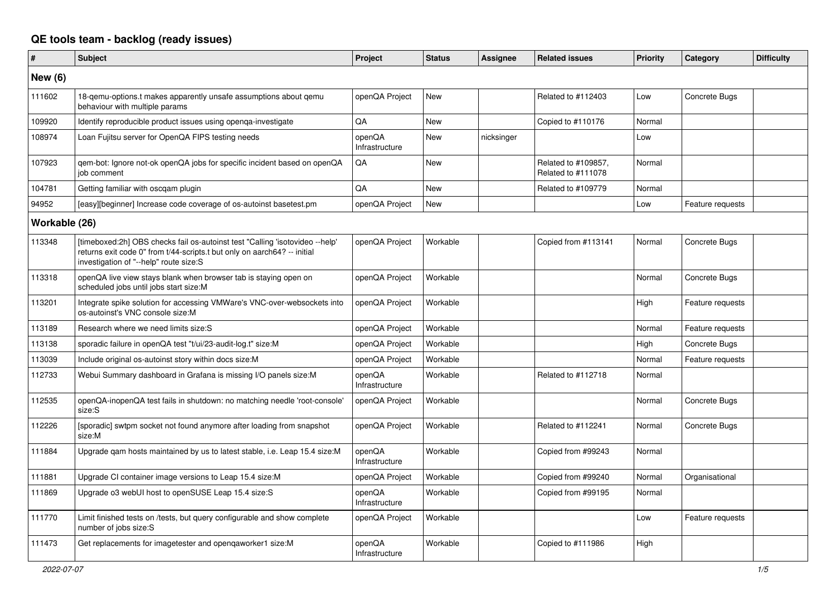## **QE tools team - backlog (ready issues)**

| #              | <b>Subject</b>                                                                                                                                                                                     | Project                  | <b>Status</b> | <b>Assignee</b> | <b>Related issues</b>                     | Priority | Category         | <b>Difficulty</b> |
|----------------|----------------------------------------------------------------------------------------------------------------------------------------------------------------------------------------------------|--------------------------|---------------|-----------------|-------------------------------------------|----------|------------------|-------------------|
| <b>New (6)</b> |                                                                                                                                                                                                    |                          |               |                 |                                           |          |                  |                   |
| 111602         | 18-gemu-options.t makes apparently unsafe assumptions about gemu<br>behaviour with multiple params                                                                                                 | openQA Project           | <b>New</b>    |                 | Related to #112403                        | Low      | Concrete Bugs    |                   |
| 109920         | Identify reproducible product issues using openga-investigate                                                                                                                                      | QA                       | New           |                 | Copied to #110176                         | Normal   |                  |                   |
| 108974         | Loan Fujitsu server for OpenQA FIPS testing needs                                                                                                                                                  | openQA<br>Infrastructure | <b>New</b>    | nicksinger      |                                           | Low      |                  |                   |
| 107923         | gem-bot: Ignore not-ok openQA jobs for specific incident based on openQA<br>iob comment                                                                                                            | QA                       | <b>New</b>    |                 | Related to #109857,<br>Related to #111078 | Normal   |                  |                   |
| 104781         | Getting familiar with oscqam plugin                                                                                                                                                                | QA                       | New           |                 | Related to #109779                        | Normal   |                  |                   |
| 94952          | [easy][beginner] Increase code coverage of os-autoinst basetest.pm                                                                                                                                 | openQA Project           | <b>New</b>    |                 |                                           | Low      | Feature requests |                   |
| Workable (26)  |                                                                                                                                                                                                    |                          |               |                 |                                           |          |                  |                   |
| 113348         | [timeboxed:2h] OBS checks fail os-autoinst test "Calling 'isotovideo --help'<br>returns exit code 0" from t/44-scripts.t but only on aarch64? -- initial<br>investigation of "--help" route size:S | openQA Project           | Workable      |                 | Copied from #113141                       | Normal   | Concrete Bugs    |                   |
| 113318         | openQA live view stays blank when browser tab is staying open on<br>scheduled jobs until jobs start size:M                                                                                         | openQA Project           | Workable      |                 |                                           | Normal   | Concrete Bugs    |                   |
| 113201         | Integrate spike solution for accessing VMWare's VNC-over-websockets into<br>os-autoinst's VNC console size:M                                                                                       | openQA Project           | Workable      |                 |                                           | High     | Feature requests |                   |
| 113189         | Research where we need limits size:S                                                                                                                                                               | openQA Project           | Workable      |                 |                                           | Normal   | Feature requests |                   |
| 113138         | sporadic failure in openQA test "t/ui/23-audit-log.t" size:M                                                                                                                                       | openQA Project           | Workable      |                 |                                           | High     | Concrete Bugs    |                   |
| 113039         | Include original os-autoinst story within docs size:M                                                                                                                                              | openQA Project           | Workable      |                 |                                           | Normal   | Feature requests |                   |
| 112733         | Webui Summary dashboard in Grafana is missing I/O panels size:M                                                                                                                                    | openQA<br>Infrastructure | Workable      |                 | Related to #112718                        | Normal   |                  |                   |
| 112535         | openQA-inopenQA test fails in shutdown: no matching needle 'root-console'<br>size:S                                                                                                                | openQA Project           | Workable      |                 |                                           | Normal   | Concrete Bugs    |                   |
| 112226         | [sporadic] swtpm socket not found anymore after loading from snapshot<br>size:M                                                                                                                    | openQA Project           | Workable      |                 | Related to #112241                        | Normal   | Concrete Bugs    |                   |
| 111884         | Upgrade gam hosts maintained by us to latest stable, i.e. Leap 15.4 size:M                                                                                                                         | openQA<br>Infrastructure | Workable      |                 | Copied from #99243                        | Normal   |                  |                   |
| 111881         | Upgrade CI container image versions to Leap 15.4 size:M                                                                                                                                            | openQA Project           | Workable      |                 | Copied from #99240                        | Normal   | Organisational   |                   |
| 111869         | Upgrade o3 webUI host to openSUSE Leap 15.4 size:S                                                                                                                                                 | openQA<br>Infrastructure | Workable      |                 | Copied from #99195                        | Normal   |                  |                   |
| 111770         | Limit finished tests on /tests, but query configurable and show complete<br>number of jobs size:S                                                                                                  | openQA Project           | Workable      |                 |                                           | Low      | Feature requests |                   |
| 111473         | Get replacements for imagetester and opengaworker1 size:M                                                                                                                                          | openQA<br>Infrastructure | Workable      |                 | Copied to #111986                         | High     |                  |                   |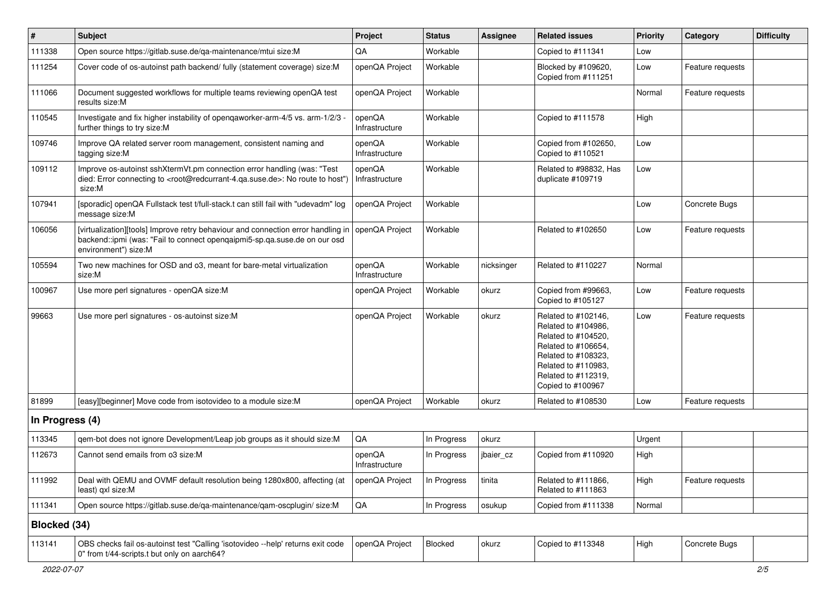| $\vert$ #       | <b>Subject</b>                                                                                                                                                                                    | Project                  | <b>Status</b> | <b>Assignee</b> | <b>Related issues</b>                                                                                                                                                              | <b>Priority</b> | Category         | <b>Difficulty</b> |
|-----------------|---------------------------------------------------------------------------------------------------------------------------------------------------------------------------------------------------|--------------------------|---------------|-----------------|------------------------------------------------------------------------------------------------------------------------------------------------------------------------------------|-----------------|------------------|-------------------|
| 111338          | Open source https://gitlab.suse.de/qa-maintenance/mtui size:M                                                                                                                                     | QA                       | Workable      |                 | Copied to #111341                                                                                                                                                                  | Low             |                  |                   |
| 111254          | Cover code of os-autoinst path backend/ fully (statement coverage) size:M                                                                                                                         | openQA Project           | Workable      |                 | Blocked by #109620,<br>Copied from #111251                                                                                                                                         | Low             | Feature requests |                   |
| 111066          | Document suggested workflows for multiple teams reviewing openQA test<br>results size:M                                                                                                           | openQA Project           | Workable      |                 |                                                                                                                                                                                    | Normal          | Feature requests |                   |
| 110545          | Investigate and fix higher instability of openqaworker-arm-4/5 vs. arm-1/2/3 -<br>further things to try size:M                                                                                    | openQA<br>Infrastructure | Workable      |                 | Copied to #111578                                                                                                                                                                  | High            |                  |                   |
| 109746          | Improve QA related server room management, consistent naming and<br>tagging size:M                                                                                                                | openQA<br>Infrastructure | Workable      |                 | Copied from #102650,<br>Copied to #110521                                                                                                                                          | Low             |                  |                   |
| 109112          | Improve os-autoinst sshXtermVt.pm connection error handling (was: "Test<br>died: Error connecting to <root@redcurrant-4.qa.suse.de>: No route to host")<br/>size:M</root@redcurrant-4.qa.suse.de> | openQA<br>Infrastructure | Workable      |                 | Related to #98832, Has<br>duplicate #109719                                                                                                                                        | Low             |                  |                   |
| 107941          | [sporadic] openQA Fullstack test t/full-stack.t can still fail with "udevadm" log<br>message size:M                                                                                               | openQA Project           | Workable      |                 |                                                                                                                                                                                    | Low             | Concrete Bugs    |                   |
| 106056          | [virtualization][tools] Improve retry behaviour and connection error handling in<br>backend::ipmi (was: "Fail to connect opengaipmi5-sp.qa.suse.de on our osd<br>environment") size:M             | openQA Project           | Workable      |                 | Related to #102650                                                                                                                                                                 | Low             | Feature requests |                   |
| 105594          | Two new machines for OSD and o3, meant for bare-metal virtualization<br>size:M                                                                                                                    | openQA<br>Infrastructure | Workable      | nicksinger      | Related to #110227                                                                                                                                                                 | Normal          |                  |                   |
| 100967          | Use more perl signatures - openQA size:M                                                                                                                                                          | openQA Project           | Workable      | okurz           | Copied from #99663,<br>Copied to #105127                                                                                                                                           | Low             | Feature requests |                   |
| 99663           | Use more perl signatures - os-autoinst size:M                                                                                                                                                     | openQA Project           | Workable      | okurz           | Related to #102146,<br>Related to #104986,<br>Related to #104520,<br>Related to #106654,<br>Related to #108323,<br>Related to #110983,<br>Related to #112319,<br>Copied to #100967 | Low             | Feature requests |                   |
| 81899           | [easy][beginner] Move code from isotovideo to a module size:M                                                                                                                                     | openQA Project           | Workable      | okurz           | Related to #108530                                                                                                                                                                 | Low             | Feature requests |                   |
| In Progress (4) |                                                                                                                                                                                                   |                          |               |                 |                                                                                                                                                                                    |                 |                  |                   |
| 113345          | gem-bot does not ignore Development/Leap job groups as it should size:M                                                                                                                           | QA                       | In Progress   | okurz           |                                                                                                                                                                                    | Urgent          |                  |                   |
| 112673          | Cannot send emails from o3 size: M                                                                                                                                                                | openQA<br>Infrastructure | In Progress   | jbaier_cz       | Copied from #110920                                                                                                                                                                | High            |                  |                   |
| 111992          | Deal with QEMU and OVMF default resolution being 1280x800, affecting (at<br>least) gxl size:M                                                                                                     | openQA Project           | In Progress   | tinita          | Related to #111866,<br>Related to #111863                                                                                                                                          | High            | Feature requests |                   |
| 111341          | Open source https://gitlab.suse.de/qa-maintenance/qam-oscplugin/ size:M                                                                                                                           | $\mathsf{QA}$            | In Progress   | osukup          | Copied from #111338                                                                                                                                                                | Normal          |                  |                   |
| Blocked (34)    |                                                                                                                                                                                                   |                          |               |                 |                                                                                                                                                                                    |                 |                  |                   |
| 113141          | OBS checks fail os-autoinst test "Calling 'isotovideo --help' returns exit code<br>0" from t/44-scripts.t but only on aarch64?                                                                    | openQA Project           | Blocked       | okurz           | Copied to #113348                                                                                                                                                                  | High            | Concrete Bugs    |                   |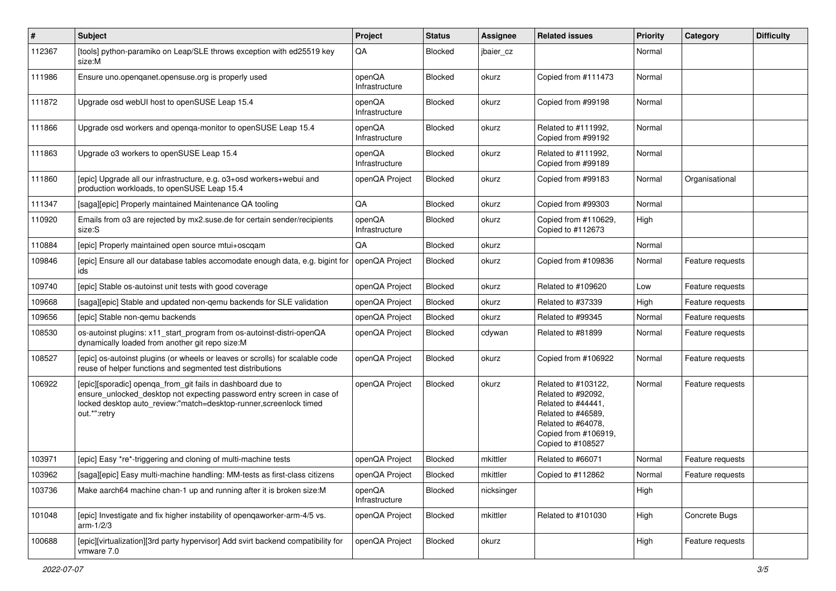| $\vert$ # | Subject                                                                                                                                                                                                                    | Project                  | <b>Status</b>  | <b>Assignee</b> | <b>Related issues</b>                                                                                                                                    | Priority | Category         | <b>Difficulty</b> |
|-----------|----------------------------------------------------------------------------------------------------------------------------------------------------------------------------------------------------------------------------|--------------------------|----------------|-----------------|----------------------------------------------------------------------------------------------------------------------------------------------------------|----------|------------------|-------------------|
| 112367    | [tools] python-paramiko on Leap/SLE throws exception with ed25519 key<br>size:M                                                                                                                                            | QA                       | <b>Blocked</b> | jbaier_cz       |                                                                                                                                                          | Normal   |                  |                   |
| 111986    | Ensure uno.openqanet.opensuse.org is properly used                                                                                                                                                                         | openQA<br>Infrastructure | Blocked        | okurz           | Copied from #111473                                                                                                                                      | Normal   |                  |                   |
| 111872    | Upgrade osd webUI host to openSUSE Leap 15.4                                                                                                                                                                               | openQA<br>Infrastructure | Blocked        | okurz           | Copied from #99198                                                                                                                                       | Normal   |                  |                   |
| 111866    | Upgrade osd workers and openga-monitor to openSUSE Leap 15.4                                                                                                                                                               | openQA<br>Infrastructure | Blocked        | okurz           | Related to #111992,<br>Copied from #99192                                                                                                                | Normal   |                  |                   |
| 111863    | Upgrade o3 workers to openSUSE Leap 15.4                                                                                                                                                                                   | openQA<br>Infrastructure | Blocked        | okurz           | Related to #111992,<br>Copied from #99189                                                                                                                | Normal   |                  |                   |
| 111860    | [epic] Upgrade all our infrastructure, e.g. o3+osd workers+webui and<br>production workloads, to openSUSE Leap 15.4                                                                                                        | openQA Project           | Blocked        | okurz           | Copied from #99183                                                                                                                                       | Normal   | Organisational   |                   |
| 111347    | [saga][epic] Properly maintained Maintenance QA tooling                                                                                                                                                                    | QA                       | Blocked        | okurz           | Copied from #99303                                                                                                                                       | Normal   |                  |                   |
| 110920    | Emails from 03 are rejected by mx2.suse.de for certain sender/recipients<br>size:S                                                                                                                                         | openQA<br>Infrastructure | Blocked        | okurz           | Copied from #110629,<br>Copied to #112673                                                                                                                | High     |                  |                   |
| 110884    | [epic] Properly maintained open source mtui+oscqam                                                                                                                                                                         | QA                       | Blocked        | okurz           |                                                                                                                                                          | Normal   |                  |                   |
| 109846    | [epic] Ensure all our database tables accomodate enough data, e.g. bigint for<br>ids                                                                                                                                       | openQA Project           | <b>Blocked</b> | okurz           | Copied from #109836                                                                                                                                      | Normal   | Feature requests |                   |
| 109740    | [epic] Stable os-autoinst unit tests with good coverage                                                                                                                                                                    | openQA Project           | Blocked        | okurz           | Related to #109620                                                                                                                                       | Low      | Feature requests |                   |
| 109668    | [saga][epic] Stable and updated non-gemu backends for SLE validation                                                                                                                                                       | openQA Project           | <b>Blocked</b> | okurz           | Related to #37339                                                                                                                                        | High     | Feature requests |                   |
| 109656    | [epic] Stable non-gemu backends                                                                                                                                                                                            | openQA Project           | Blocked        | okurz           | Related to #99345                                                                                                                                        | Normal   | Feature requests |                   |
| 108530    | os-autoinst plugins: x11_start_program from os-autoinst-distri-openQA<br>dynamically loaded from another git repo size:M                                                                                                   | openQA Project           | Blocked        | cdywan          | Related to #81899                                                                                                                                        | Normal   | Feature requests |                   |
| 108527    | [epic] os-autoinst plugins (or wheels or leaves or scrolls) for scalable code<br>reuse of helper functions and segmented test distributions                                                                                | openQA Project           | Blocked        | okurz           | Copied from #106922                                                                                                                                      | Normal   | Feature requests |                   |
| 106922    | [epic][sporadic] openqa_from_git fails in dashboard due to<br>ensure_unlocked_desktop not expecting password entry screen in case of<br>locked desktop auto review:"match=desktop-runner, screenlock timed<br>out.*":retry | openQA Project           | Blocked        | okurz           | Related to #103122,<br>Related to #92092,<br>Related to #44441,<br>Related to #46589,<br>Related to #64078,<br>Copied from #106919,<br>Copied to #108527 | Normal   | Feature requests |                   |
| 103971    | [epic] Easy *re*-triggering and cloning of multi-machine tests                                                                                                                                                             | openQA Project           | Blocked        | mkittler        | Related to #66071                                                                                                                                        | Normal   | Feature requests |                   |
| 103962    | [saga][epic] Easy multi-machine handling: MM-tests as first-class citizens                                                                                                                                                 | openQA Project           | Blocked        | mkittler        | Copied to #112862                                                                                                                                        | Normal   | Feature requests |                   |
| 103736    | Make aarch64 machine chan-1 up and running after it is broken size:M                                                                                                                                                       | openQA<br>Infrastructure | Blocked        | nicksinger      |                                                                                                                                                          | High     |                  |                   |
| 101048    | [epic] Investigate and fix higher instability of openqaworker-arm-4/5 vs.<br>arm- $1/2/3$                                                                                                                                  | openQA Project           | Blocked        | mkittler        | Related to #101030                                                                                                                                       | High     | Concrete Bugs    |                   |
| 100688    | [epic][virtualization][3rd party hypervisor] Add svirt backend compatibility for<br>vmware 7.0                                                                                                                             | openQA Project           | Blocked        | okurz           |                                                                                                                                                          | High     | Feature requests |                   |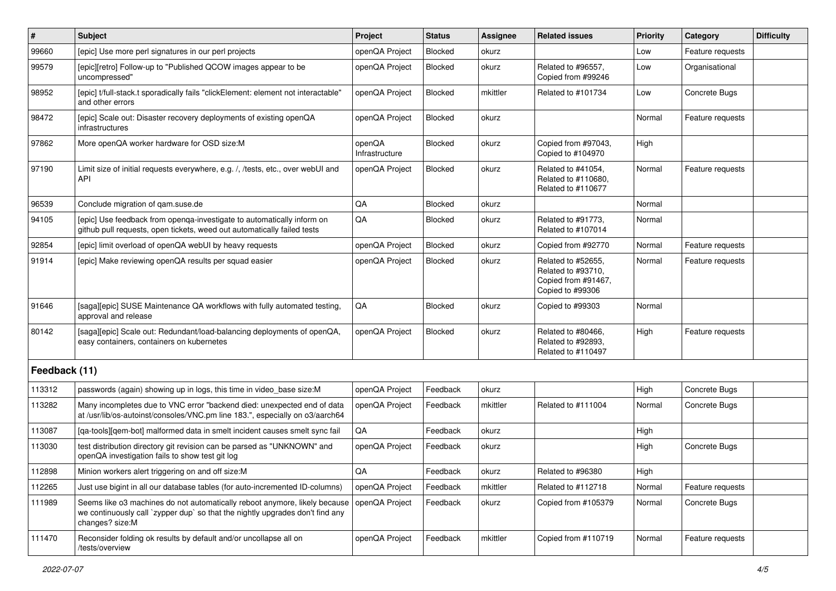| #             | <b>Subject</b>                                                                                                                                                                 | Project                  | <b>Status</b>  | <b>Assignee</b> | <b>Related issues</b>                                                               | Priority | Category         | <b>Difficulty</b> |
|---------------|--------------------------------------------------------------------------------------------------------------------------------------------------------------------------------|--------------------------|----------------|-----------------|-------------------------------------------------------------------------------------|----------|------------------|-------------------|
| 99660         | [epic] Use more perl signatures in our perl projects                                                                                                                           | openQA Project           | <b>Blocked</b> | okurz           |                                                                                     | Low      | Feature requests |                   |
| 99579         | [epic][retro] Follow-up to "Published QCOW images appear to be<br>uncompressed"                                                                                                | openQA Project           | <b>Blocked</b> | okurz           | Related to #96557,<br>Copied from #99246                                            | Low      | Organisational   |                   |
| 98952         | [epic] t/full-stack.t sporadically fails "clickElement: element not interactable"<br>and other errors                                                                          | openQA Project           | <b>Blocked</b> | mkittler        | Related to #101734                                                                  | Low      | Concrete Bugs    |                   |
| 98472         | [epic] Scale out: Disaster recovery deployments of existing openQA<br>infrastructures                                                                                          | openQA Project           | <b>Blocked</b> | okurz           |                                                                                     | Normal   | Feature requests |                   |
| 97862         | More openQA worker hardware for OSD size:M                                                                                                                                     | openQA<br>Infrastructure | <b>Blocked</b> | okurz           | Copied from #97043,<br>Copied to #104970                                            | High     |                  |                   |
| 97190         | Limit size of initial requests everywhere, e.g. /, /tests, etc., over webUI and<br>API                                                                                         | openQA Project           | <b>Blocked</b> | okurz           | Related to #41054.<br>Related to #110680,<br>Related to #110677                     | Normal   | Feature requests |                   |
| 96539         | Conclude migration of gam.suse.de                                                                                                                                              | QA                       | <b>Blocked</b> | okurz           |                                                                                     | Normal   |                  |                   |
| 94105         | [epic] Use feedback from openga-investigate to automatically inform on<br>github pull requests, open tickets, weed out automatically failed tests                              | QA                       | <b>Blocked</b> | okurz           | Related to #91773,<br>Related to #107014                                            | Normal   |                  |                   |
| 92854         | [epic] limit overload of openQA webUI by heavy requests                                                                                                                        | openQA Project           | <b>Blocked</b> | okurz           | Copied from #92770                                                                  | Normal   | Feature requests |                   |
| 91914         | [epic] Make reviewing openQA results per squad easier                                                                                                                          | openQA Project           | <b>Blocked</b> | okurz           | Related to #52655,<br>Related to #93710,<br>Copied from #91467,<br>Copied to #99306 | Normal   | Feature requests |                   |
| 91646         | [saga][epic] SUSE Maintenance QA workflows with fully automated testing,<br>approval and release                                                                               | QA                       | <b>Blocked</b> | okurz           | Copied to #99303                                                                    | Normal   |                  |                   |
| 80142         | [saga][epic] Scale out: Redundant/load-balancing deployments of openQA,<br>easy containers, containers on kubernetes                                                           | openQA Project           | <b>Blocked</b> | okurz           | Related to #80466,<br>Related to #92893,<br>Related to #110497                      | High     | Feature requests |                   |
| Feedback (11) |                                                                                                                                                                                |                          |                |                 |                                                                                     |          |                  |                   |
| 113312        | passwords (again) showing up in logs, this time in video_base size:M                                                                                                           | openQA Project           | Feedback       | okurz           |                                                                                     | High     | Concrete Bugs    |                   |
| 113282        | Many incompletes due to VNC error "backend died: unexpected end of data<br>at /usr/lib/os-autoinst/consoles/VNC.pm line 183.", especially on o3/aarch64                        | openQA Project           | Feedback       | mkittler        | Related to #111004                                                                  | Normal   | Concrete Bugs    |                   |
| 113087        | [qa-tools][qem-bot] malformed data in smelt incident causes smelt sync fail                                                                                                    | QA                       | Feedback       | okurz           |                                                                                     | High     |                  |                   |
| 113030        | test distribution directory git revision can be parsed as "UNKNOWN" and<br>openQA investigation fails to show test git log                                                     | openQA Project           | Feedback       | okurz           |                                                                                     | High     | Concrete Bugs    |                   |
| 112898        | Minion workers alert triggering on and off size:M                                                                                                                              | QA                       | Feedback       | okurz           | Related to #96380                                                                   | High     |                  |                   |
| 112265        | Just use bigint in all our database tables (for auto-incremented ID-columns)                                                                                                   | openQA Project           | Feedback       | mkittler        | Related to #112718                                                                  | Normal   | Feature requests |                   |
| 111989        | Seems like o3 machines do not automatically reboot anymore, likely because<br>we continuously call `zypper dup` so that the nightly upgrades don't find any<br>changes? size:M | openQA Project           | Feedback       | okurz           | Copied from #105379                                                                 | Normal   | Concrete Bugs    |                   |
| 111470        | Reconsider folding ok results by default and/or uncollapse all on<br>/tests/overview                                                                                           | openQA Project           | Feedback       | mkittler        | Copied from #110719                                                                 | Normal   | Feature requests |                   |